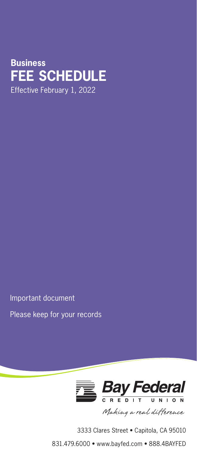## **Consumer and Business Business FEE SCHEDULE FEE SCHEDULE** Effective February 1, 2022

Important document

Please keep for your records



3333 Clares Street • Capitola, CA 95010

831.479.6000 • www.bayfed.com • 888.4BAYFED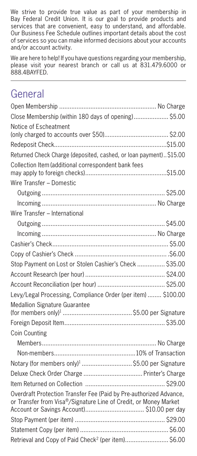We strive to provide true value as part of your membership in Bay Federal Credit Union. It is our goal to provide products and services that are convenient, easy to understand, and affordable. Our Business Fee Schedule outlines important details about the cost of services so you can make informed decisions about your accounts and/or account activity.

We are here to help! If you have questions regarding your membership, please visit your nearest branch or call us at 831.479.6000 or 888.4BAYFED.

# General

| Close Membership (within 180 days of opening) \$5.00                                                                                   |  |
|----------------------------------------------------------------------------------------------------------------------------------------|--|
| Notice of Escheatment                                                                                                                  |  |
|                                                                                                                                        |  |
|                                                                                                                                        |  |
| Returned Check Charge (deposited, cashed, or loan payment) \$15.00                                                                     |  |
| Collection Item (additional correspondent bank fees                                                                                    |  |
| Wire Transfer - Domestic                                                                                                               |  |
|                                                                                                                                        |  |
|                                                                                                                                        |  |
| Wire Transfer - International                                                                                                          |  |
|                                                                                                                                        |  |
|                                                                                                                                        |  |
|                                                                                                                                        |  |
|                                                                                                                                        |  |
| Stop Payment on Lost or Stolen Cashier's Check  \$35.00                                                                                |  |
|                                                                                                                                        |  |
|                                                                                                                                        |  |
| Levy/Legal Processing, Compliance Order (per item)  \$100.00                                                                           |  |
| Medallion Signature Guarantee                                                                                                          |  |
|                                                                                                                                        |  |
| Coin Counting                                                                                                                          |  |
|                                                                                                                                        |  |
|                                                                                                                                        |  |
| Notary (for members only) <sup>1</sup> \$5.00 per Signature                                                                            |  |
|                                                                                                                                        |  |
|                                                                                                                                        |  |
| Overdraft Protection Transfer Fee (Paid by Pre-authorized Advance,<br>or Transfer from Visa®/Signature Line of Credit, or Money Market |  |
|                                                                                                                                        |  |
|                                                                                                                                        |  |
| Retrieval and Copy of Paid Check <sup>2</sup> (per item) \$6.00                                                                        |  |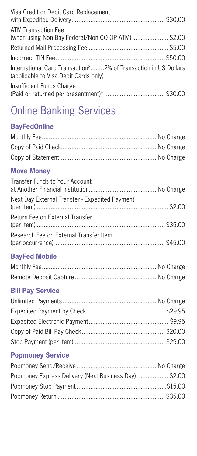| Visa Credit or Debit Card Replacement                                                                                |  |
|----------------------------------------------------------------------------------------------------------------------|--|
| ATM Transaction Fee<br>(when using Non-Bay Federal/Non-CO-OP ATM) \$2.00                                             |  |
|                                                                                                                      |  |
|                                                                                                                      |  |
| International Card Transaction <sup>3</sup> 2% of Transaction in US Dollars<br>(applicable to Visa Debit Cards only) |  |
| Insufficient Funds Charge                                                                                            |  |

# Online Banking Services

## **BayFedOnline**

## **Move Money**

| Transfer Funds to Your Account                 |  |
|------------------------------------------------|--|
| Next Day External Transfer - Expedited Payment |  |
| Return Fee on External Transfer                |  |
| Research Fee on External Transfer Item         |  |

## **BayFed Mobile**

## **Bill Pay Service**

## **Popmoney Service**

| Popmoney Express Delivery (Next Business Day)  \$2.00 |  |
|-------------------------------------------------------|--|
|                                                       |  |
|                                                       |  |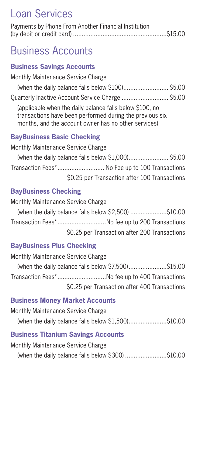# Loan Services

| Payments by Phone From Another Financial Institution |  |
|------------------------------------------------------|--|
|                                                      |  |

## Business Accounts

#### **Business Savings Accounts**

Monthly Maintenance Service Charge

| (when the daily balance falls below \$100) \$5.00 |  |
|---------------------------------------------------|--|
| Quarterly Inactive Account Service Charge  \$5.00 |  |

(applicable when the daily balance falls below \$100, no transactions have been performed during the previous six months, and the account owner has no other services)

#### **BayBusiness Basic Checking**

Monthly Maintenance Service Charge (when the daily balance falls below \$1,000)....................... \$5.00 Transaction Fees\*........................... No Fee up to 100 Transactions \$0.25 per Transaction after 100 Transactions

#### **BayBusiness Checking**

Monthly Maintenance Service Charge

(when the daily balance falls below \$2,500) .....................\$10.00 Transaction Fees\*............................No fee up to 200 Transactions \$0.25 per Transaction after 200 Transactions

### **BayBusiness Plus Checking**

Monthly Maintenance Service Charge

(when the daily balance falls below \$7,500).......................\$15.00 Transaction Fees\*............................No fee up to 400 Transactions \$0.25 per Transaction after 400 Transactions

#### **Business Money Market Accounts**

Monthly Maintenance Service Charge

(when the daily balance falls below \$1,500)......................\$10.00

#### **Business Titanium Savings Accounts**

Monthly Maintenance Service Charge

(when the daily balance falls below \$300) ........................\$10.00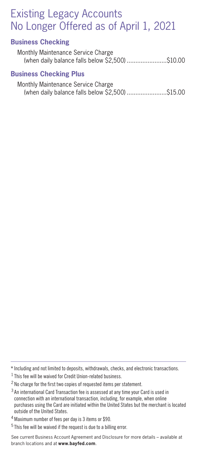# Existing Legacy Accounts No Longer Offered as of April 1, 2021

#### **Business Checking**

Monthly Maintenance Service Charge (when daily balance falls below \$2,500) .......................\$10.00

#### **Business Checking Plus**

| Monthly Maintenance Service Charge               |  |
|--------------------------------------------------|--|
| (when daily balance falls below \$2,500) \$15.00 |  |

<sup>\*</sup> Including and not limited to deposits, withdrawals, checks, and electronic transactions.

 $<sup>1</sup>$  This fee will be waived for Credit Union-related business.</sup>

<sup>&</sup>lt;sup>2</sup> No charge for the first two copies of requested items per statement.

<sup>3</sup> An international Card Transaction fee is assessed at any time your Card is used in connection with an international transaction, including, for example, when online purchases using the Card are initiated within the United States but the merchant is located outside of the United States.

<sup>&</sup>lt;sup>4</sup> Maximum number of fees per day is 3 items or \$90.

<sup>5</sup> This fee will be waived if the request is due to a billing error.

See current Business Account Agreement and Disclosure for more details – available at branch locations and at **www.bayfed.com**.